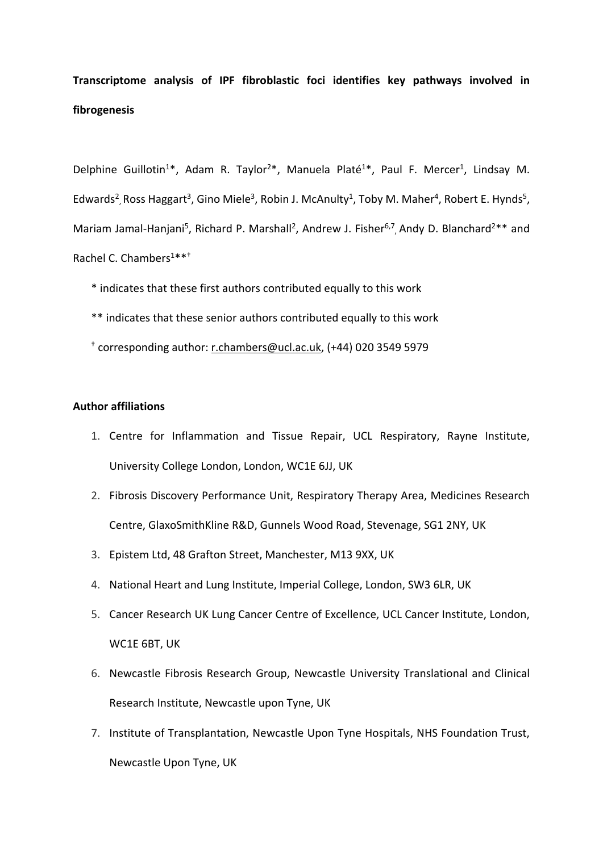## **Transcriptome analysis of IPF fibroblastic foci identifies key pathways involved in fibrogenesis**

Delphine Guillotin<sup>1\*</sup>, Adam R. Taylor<sup>2\*</sup>, Manuela Platé<sup>1\*</sup>, Paul F. Mercer<sup>1</sup>, Lindsay M. Edwards<sup>2</sup>, Ross Haggart<sup>3</sup>, Gino Miele<sup>3</sup>, Robin J. McAnulty<sup>1</sup>, Toby M. Maher<sup>4</sup>, Robert E. Hynds<sup>5</sup>, Mariam Jamal-Hanjani<sup>5</sup>, Richard P. Marshall<sup>2</sup>, Andrew J. Fisher<sup>6,7</sup>, Andy D. Blanchard<sup>2\*\*</sup> and Rachel C. Chambers<sup>1\*\*\*</sup>

- \* indicates that these first authors contributed equally to this work
- \*\* indicates that these senior authors contributed equally to this work
- † corresponding author: [r.chambers@ucl.ac.uk,](mailto:r.chambers@ucl.ac.uk) (+44) 020 3549 5979

## **Author affiliations**

- 1. Centre for Inflammation and Tissue Repair, UCL Respiratory, Rayne Institute, University College London, London, WC1E 6JJ, UK
- 2. Fibrosis Discovery Performance Unit, Respiratory Therapy Area, Medicines Research Centre, GlaxoSmithKline R&D, Gunnels Wood Road, Stevenage, SG1 2NY, UK
- 3. Epistem Ltd, 48 Grafton Street, Manchester, M13 9XX, UK
- 4. National Heart and Lung Institute, Imperial College, London, SW3 6LR, UK
- 5. Cancer Research UK Lung Cancer Centre of Excellence, UCL Cancer Institute, London, WC1E 6BT, UK
- 6. Newcastle Fibrosis Research Group, Newcastle University Translational and Clinical Research Institute, Newcastle upon Tyne, UK
- 7. Institute of Transplantation, Newcastle Upon Tyne Hospitals, NHS Foundation Trust, Newcastle Upon Tyne, UK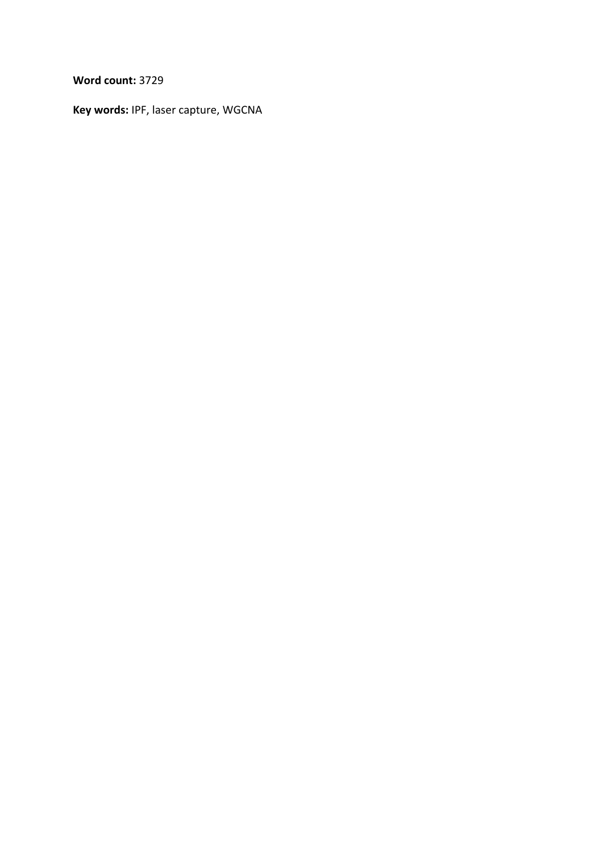**Word count:** 3729

**Key words:** IPF, laser capture, WGCNA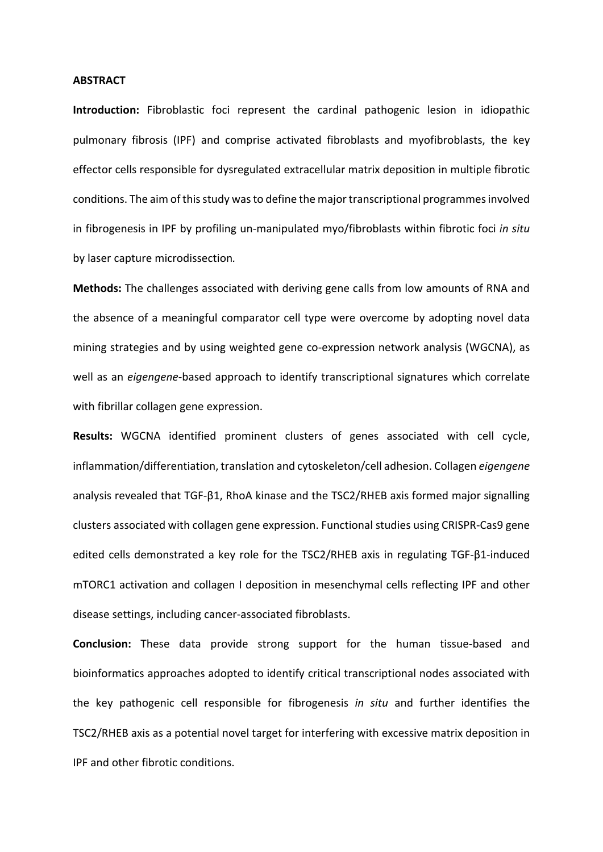#### **ABSTRACT**

**Introduction:** Fibroblastic foci represent the cardinal pathogenic lesion in idiopathic pulmonary fibrosis (IPF) and comprise activated fibroblasts and myofibroblasts, the key effector cells responsible for dysregulated extracellular matrix deposition in multiple fibrotic conditions. The aim of this study was to define the major transcriptional programmes involved in fibrogenesis in IPF by profiling un-manipulated myo/fibroblasts within fibrotic foci *in situ* by laser capture microdissection*.* 

**Methods:** The challenges associated with deriving gene calls from low amounts of RNA and the absence of a meaningful comparator cell type were overcome by adopting novel data mining strategies and by using weighted gene co-expression network analysis (WGCNA), as well as an *eigengene*-based approach to identify transcriptional signatures which correlate with fibrillar collagen gene expression.

**Results:** WGCNA identified prominent clusters of genes associated with cell cycle, inflammation/differentiation, translation and cytoskeleton/cell adhesion. Collagen *eigengene* analysis revealed that TGF-β1, RhoA kinase and the TSC2/RHEB axis formed major signalling clusters associated with collagen gene expression. Functional studies using CRISPR-Cas9 gene edited cells demonstrated a key role for the TSC2/RHEB axis in regulating TGF-β1-induced mTORC1 activation and collagen I deposition in mesenchymal cells reflecting IPF and other disease settings, including cancer-associated fibroblasts.

**Conclusion:** These data provide strong support for the human tissue-based and bioinformatics approaches adopted to identify critical transcriptional nodes associated with the key pathogenic cell responsible for fibrogenesis *in situ* and further identifies the TSC2/RHEB axis as a potential novel target for interfering with excessive matrix deposition in IPF and other fibrotic conditions.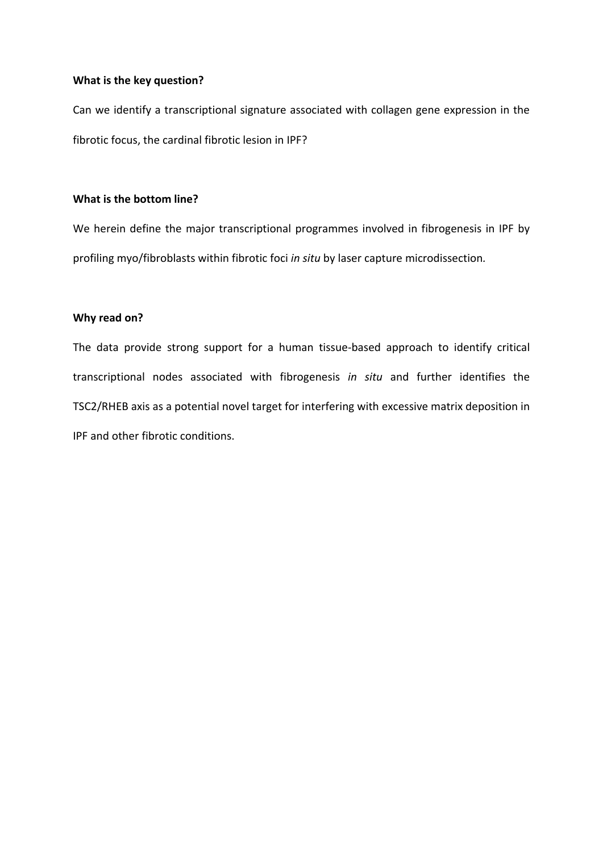## **What is the key question?**

Can we identify a transcriptional signature associated with collagen gene expression in the fibrotic focus, the cardinal fibrotic lesion in IPF?

## **What is the bottom line?**

We herein define the major transcriptional programmes involved in fibrogenesis in IPF by profiling myo/fibroblasts within fibrotic foci *in situ* by laser capture microdissection*.*

## **Why read on?**

The data provide strong support for a human tissue-based approach to identify critical transcriptional nodes associated with fibrogenesis *in situ* and further identifies the TSC2/RHEB axis as a potential novel target for interfering with excessive matrix deposition in IPF and other fibrotic conditions.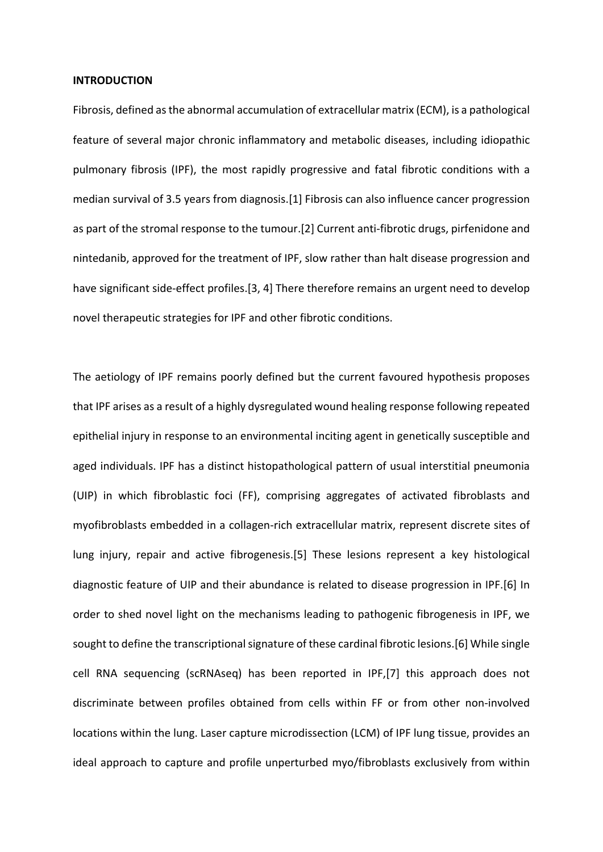#### **INTRODUCTION**

Fibrosis, defined as the abnormal accumulation of extracellular matrix (ECM), is a pathological feature of several major chronic inflammatory and metabolic diseases, including idiopathic pulmonary fibrosis (IPF), the most rapidly progressive and fatal fibrotic conditions with a median survival of 3.5 years from diagnosis.[1] Fibrosis can also influence cancer progression as part of the stromal response to the tumour.[2] Current anti-fibrotic drugs, pirfenidone and nintedanib, approved for the treatment of IPF, slow rather than halt disease progression and have significant side-effect profiles.[3, 4] There therefore remains an urgent need to develop novel therapeutic strategies for IPF and other fibrotic conditions.

The aetiology of IPF remains poorly defined but the current favoured hypothesis proposes that IPF arises as a result of a highly dysregulated wound healing response following repeated epithelial injury in response to an environmental inciting agent in genetically susceptible and aged individuals. IPF has a distinct histopathological pattern of usual interstitial pneumonia (UIP) in which fibroblastic foci (FF), comprising aggregates of activated fibroblasts and myofibroblasts embedded in a collagen-rich extracellular matrix, represent discrete sites of lung injury, repair and active fibrogenesis.[5] These lesions represent a key histological diagnostic feature of UIP and their abundance is related to disease progression in IPF.[6] In order to shed novel light on the mechanisms leading to pathogenic fibrogenesis in IPF, we sought to define the transcriptional signature of these cardinal fibrotic lesions.[6] While single cell RNA sequencing (scRNAseq) has been reported in IPF,[7] this approach does not discriminate between profiles obtained from cells within FF or from other non-involved locations within the lung. Laser capture microdissection (LCM) of IPF lung tissue, provides an ideal approach to capture and profile unperturbed myo/fibroblasts exclusively from within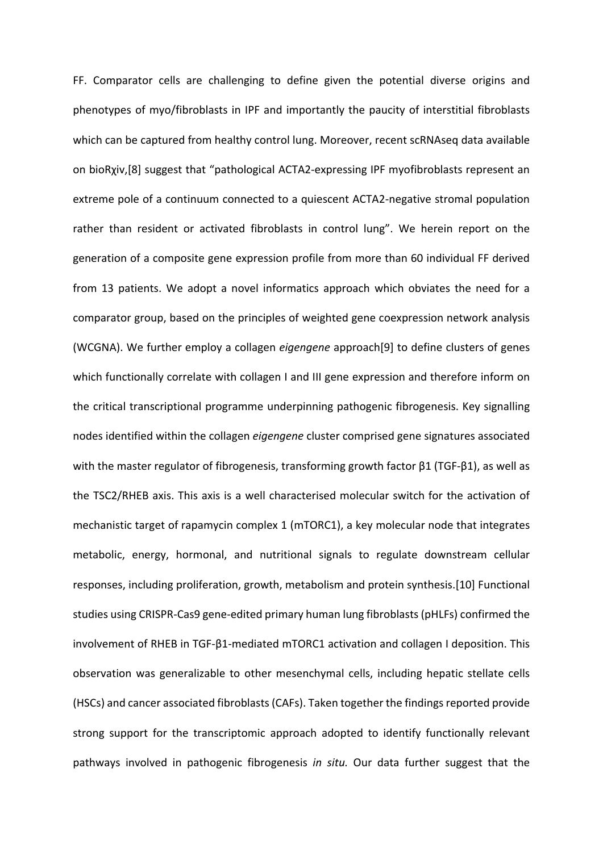FF. Comparator cells are challenging to define given the potential diverse origins and phenotypes of myo/fibroblasts in IPF and importantly the paucity of interstitial fibroblasts which can be captured from healthy control lung. Moreover, recent scRNAseq data available on bioRχiv,[8] suggest that "pathological ACTA2-expressing IPF myofibroblasts represent an extreme pole of a continuum connected to a quiescent ACTA2-negative stromal population rather than resident or activated fibroblasts in control lung". We herein report on the generation of a composite gene expression profile from more than 60 individual FF derived from 13 patients. We adopt a novel informatics approach which obviates the need for a comparator group, based on the principles of weighted gene coexpression network analysis (WCGNA). We further employ a collagen *eigengene* approach[9] to define clusters of genes which functionally correlate with collagen I and III gene expression and therefore inform on the critical transcriptional programme underpinning pathogenic fibrogenesis. Key signalling nodes identified within the collagen *eigengene* cluster comprised gene signatures associated with the master regulator of fibrogenesis, transforming growth factor  $β1$  (TGF- $β1$ ), as well as the TSC2/RHEB axis. This axis is a well characterised molecular switch for the activation of mechanistic target of rapamycin complex 1 (mTORC1), a key molecular node that integrates metabolic, energy, hormonal, and nutritional signals to regulate downstream cellular responses, including proliferation, growth, metabolism and protein synthesis.[10] Functional studies using CRISPR-Cas9 gene-edited primary human lung fibroblasts(pHLFs) confirmed the involvement of RHEB in TGF-β1-mediated mTORC1 activation and collagen I deposition. This observation was generalizable to other mesenchymal cells, including hepatic stellate cells (HSCs) and cancer associated fibroblasts (CAFs). Taken together the findingsreported provide strong support for the transcriptomic approach adopted to identify functionally relevant pathways involved in pathogenic fibrogenesis *in situ.* Our data further suggest that the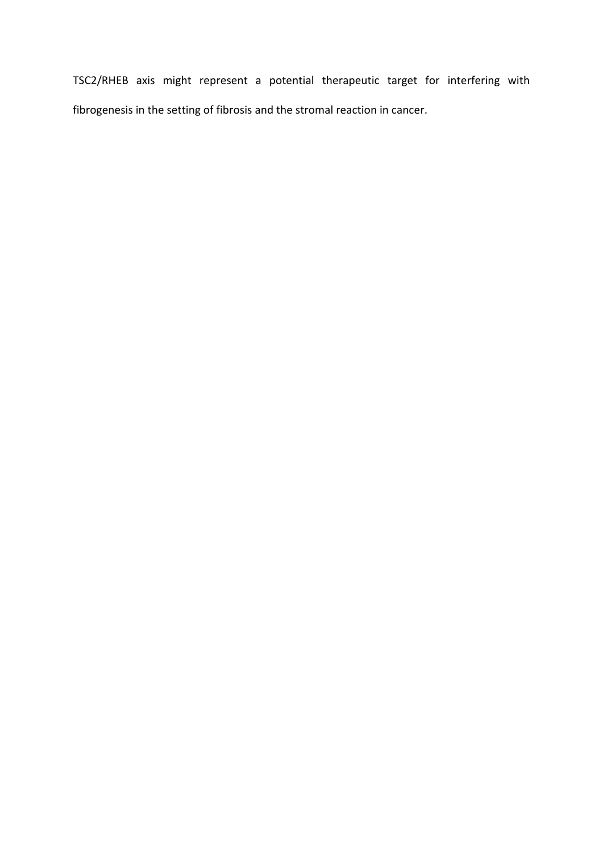TSC2/RHEB axis might represent a potential therapeutic target for interfering with fibrogenesis in the setting of fibrosis and the stromal reaction in cancer.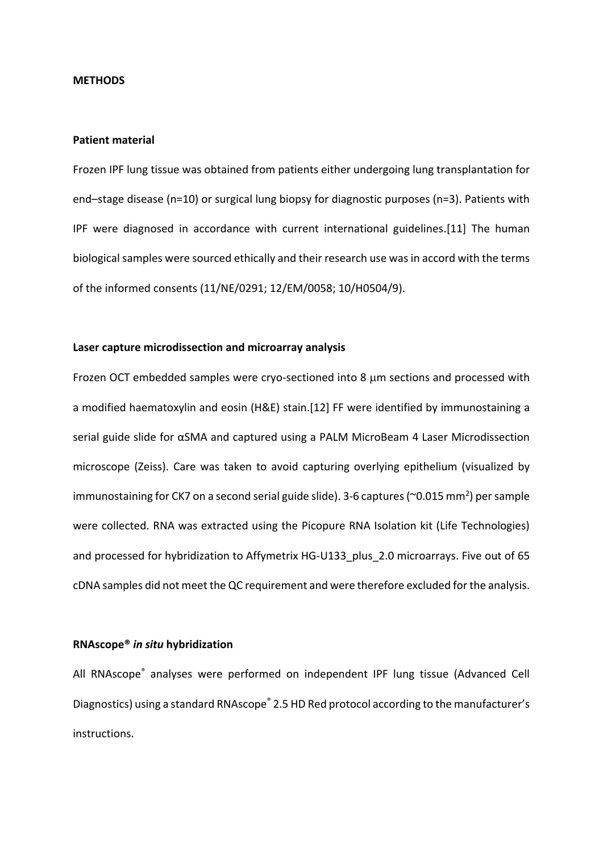#### **METHODS**

#### **Patient material**

Frozen IPF lung tissue was obtained from patients either undergoing lung transplantation for end–stage disease (n=10) or surgical lung biopsy for diagnostic purposes (n=3). Patients with IPF were diagnosed in accordance with current international guidelines.[11] The human biological samples were sourced ethically and their research use was in accord with the terms of the informed consents (11/NE/0291; 12/EM/0058; 10/H0504/9).

### **Laser capture microdissection and microarray analysis**

Frozen OCT embedded samples were cryo-sectioned into 8  $\mu$ m sections and processed with a modified haematoxylin and eosin (H&E) stain.[12] FF were identified by immunostaining a serial guide slide for αSMA and captured using a PALM MicroBeam 4 Laser Microdissection microscope (Zeiss). Care was taken to avoid capturing overlying epithelium (visualized by immunostaining for CK7 on a second serial guide slide). 3-6 captures (~0.015 mm<sup>2</sup>) per sample were collected. RNA was extracted using the Picopure RNA Isolation kit (Life Technologies) and processed for hybridization to Affymetrix HG-U133\_plus\_2.0 microarrays. Five out of 65 cDNA samples did not meet the QC requirement and were therefore excluded for the analysis.

#### **RNAscope®** *in situ* **hybridization**

All RNAscope<sup>®</sup> analyses were performed on independent IPF lung tissue (Advanced Cell Diagnostics) using a standard RNAscope<sup>®</sup> 2.5 HD Red protocol according to the manufacturer's instructions.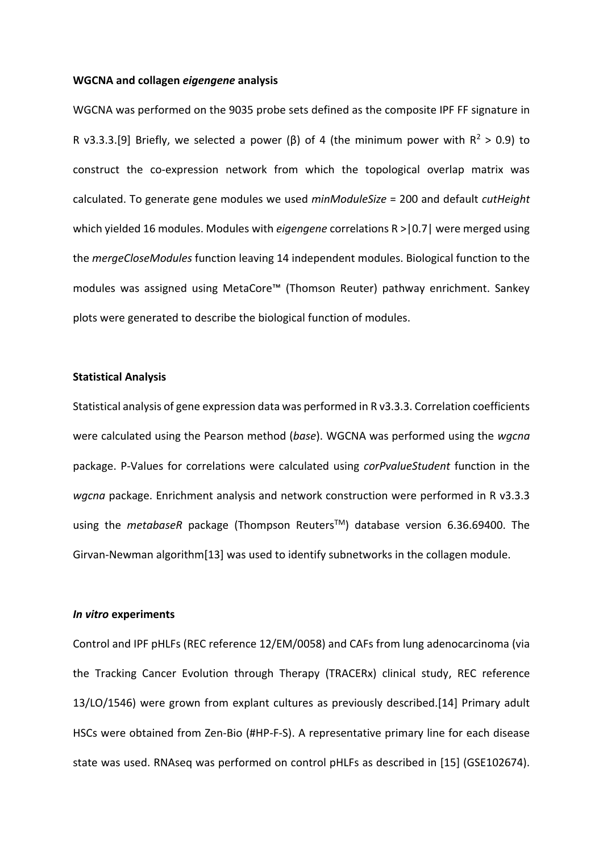### **WGCNA and collagen** *eigengene* **analysis**

WGCNA was performed on the 9035 probe sets defined as the composite IPF FF signature in R v3.3.3.[9] Briefly, we selected a power (β) of 4 (the minimum power with  $R^2 > 0.9$ ) to construct the co-expression network from which the topological overlap matrix was calculated. To generate gene modules we used *minModuleSize* = 200 and default *cutHeight* which yielded 16 modules. Modules with *eigengene* correlations R >|0.7| were merged using the *mergeCloseModules* function leaving 14 independent modules. Biological function to the modules was assigned using MetaCore™ (Thomson Reuter) pathway enrichment. Sankey plots were generated to describe the biological function of modules.

#### **Statistical Analysis**

Statistical analysis of gene expression data was performed in R v3.3.3. Correlation coefficients were calculated using the Pearson method (*base*). WGCNA was performed using the *wgcna* package. P-Values for correlations were calculated using *corPvalueStudent* function in the *wgcna* package. Enrichment analysis and network construction were performed in R v3.3.3 using the *metabaseR* package (Thompson ReutersTM) database version 6.36.69400. The Girvan-Newman algorithm[13] was used to identify subnetworks in the collagen module.

#### *In vitro* **experiments**

Control and IPF pHLFs (REC reference 12/EM/0058) and CAFs from lung adenocarcinoma (via the Tracking Cancer Evolution through Therapy (TRACERx) clinical study, REC reference 13/LO/1546) were grown from explant cultures as previously described.[14] Primary adult HSCs were obtained from Zen-Bio (#HP-F-S). A representative primary line for each disease state was used. RNAseq was performed on control pHLFs as described in [15] (GSE102674).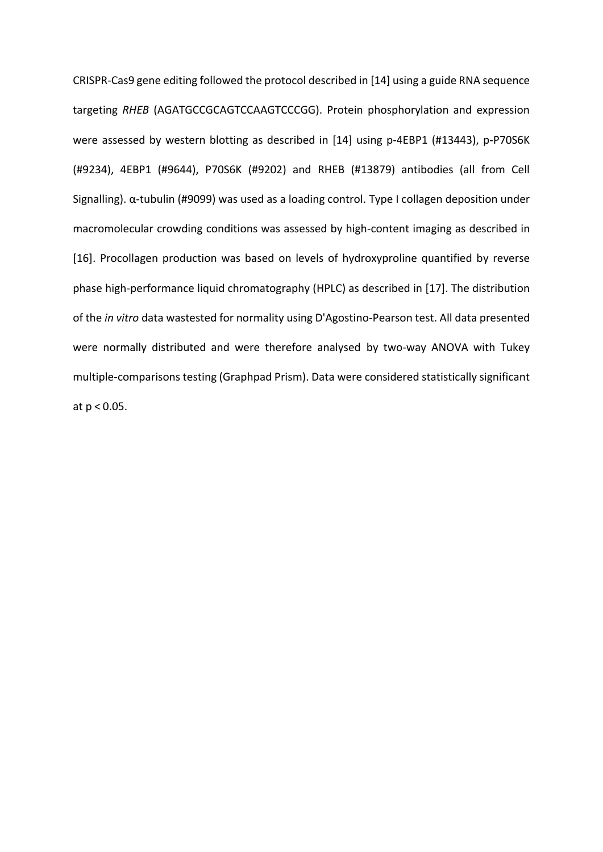CRISPR-Cas9 gene editing followed the protocol described in [14] using a guide RNA sequence targeting *RHEB* (AGATGCCGCAGTCCAAGTCCCGG). Protein phosphorylation and expression were assessed by western blotting as described in [14] using p-4EBP1 (#13443), p-P70S6K (#9234), 4EBP1 (#9644), P70S6K (#9202) and RHEB (#13879) antibodies (all from Cell Signalling). α-tubulin (#9099) was used as a loading control. Type I collagen deposition under macromolecular crowding conditions was assessed by high-content imaging as described in [16]. Procollagen production was based on levels of hydroxyproline quantified by reverse phase high-performance liquid chromatography (HPLC) as described in [17]. The distribution of the *in vitro* data wastested for normality using D'Agostino-Pearson test. All data presented were normally distributed and were therefore analysed by two-way ANOVA with Tukey multiple-comparisons testing (Graphpad Prism). Data were considered statistically significant at p < 0.05.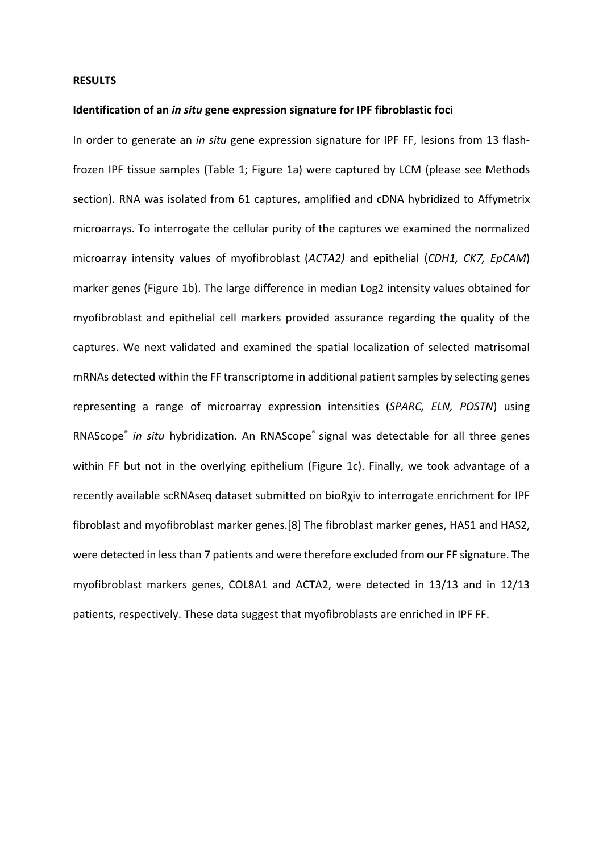#### **RESULTS**

### **Identification of an** *in situ* **gene expression signature for IPF fibroblastic foci**

In order to generate an *in situ* gene expression signature for IPF FF, lesions from 13 flashfrozen IPF tissue samples (Table 1; Figure 1a) were captured by LCM (please see Methods section). RNA was isolated from 61 captures, amplified and cDNA hybridized to Affymetrix microarrays. To interrogate the cellular purity of the captures we examined the normalized microarray intensity values of myofibroblast (*ACTA2)* and epithelial (*CDH1, CK7, EpCAM*) marker genes (Figure 1b). The large difference in median Log2 intensity values obtained for myofibroblast and epithelial cell markers provided assurance regarding the quality of the captures. We next validated and examined the spatial localization of selected matrisomal mRNAs detected within the FF transcriptome in additional patient samples by selecting genes representing a range of microarray expression intensities (*SPARC, ELN, POSTN*) using RNAScope<sup>®</sup> in situ hybridization. An RNAScope® signal was detectable for all three genes within FF but not in the overlying epithelium (Figure 1c). Finally, we took advantage of a recently available scRNAseq dataset submitted on bioRχiv to interrogate enrichment for IPF fibroblast and myofibroblast marker genes.[8] The fibroblast marker genes, HAS1 and HAS2, were detected in less than 7 patients and were therefore excluded from our FF signature. The myofibroblast markers genes, COL8A1 and ACTA2, were detected in 13/13 and in 12/13 patients, respectively. These data suggest that myofibroblasts are enriched in IPF FF.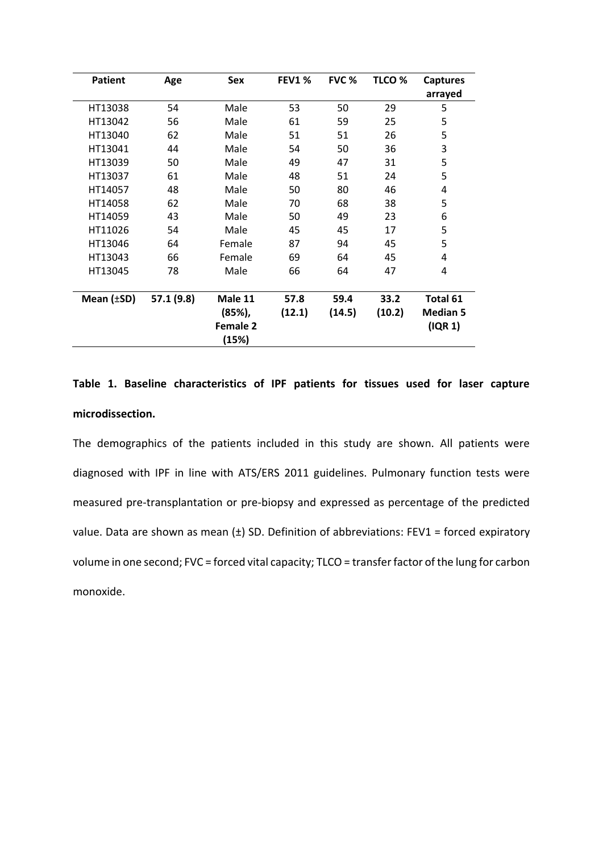| <b>Patient</b>  | Age        | Sex             | <b>FEV1%</b> | <b>FVC %</b> | TLCO <sub>%</sub> | <b>Captures</b> |
|-----------------|------------|-----------------|--------------|--------------|-------------------|-----------------|
|                 |            |                 |              |              |                   | arrayed         |
| HT13038         | 54         | Male            | 53           | 50           | 29                | 5               |
| HT13042         | 56         | Male            | 61           | 59           | 25                | 5               |
| HT13040         | 62         | Male            | 51           | 51           | 26                | 5               |
| HT13041         | 44         | Male            | 54           | 50           | 36                | 3               |
| HT13039         | 50         | Male            | 49           | 47           | 31                | 5               |
| HT13037         | 61         | Male            | 48           | 51           | 24                | 5               |
| HT14057         | 48         | Male            | 50           | 80           | 46                | 4               |
| HT14058         | 62         | Male            | 70           | 68           | 38                | 5               |
| HT14059         | 43         | Male            | 50           | 49           | 23                | 6               |
| HT11026         | 54         | Male            | 45           | 45           | 17                | 5               |
| HT13046         | 64         | Female          | 87           | 94           | 45                | 5               |
| HT13043         | 66         | Female          | 69           | 64           | 45                | 4               |
| HT13045         | 78         | Male            | 66           | 64           | 47                | 4               |
|                 |            |                 |              |              |                   |                 |
| Mean $(\pm SD)$ | 57.1 (9.8) | Male 11         | 57.8         | 59.4         | 33.2              | Total 61        |
|                 |            | (85%),          | (12.1)       | (14.5)       | (10.2)            | <b>Median 5</b> |
|                 |            | <b>Female 2</b> |              |              |                   | (IQR 1)         |
|                 |            | (15%)           |              |              |                   |                 |

## **Table 1. Baseline characteristics of IPF patients for tissues used for laser capture microdissection.**

The demographics of the patients included in this study are shown. All patients were diagnosed with IPF in line with ATS/ERS 2011 guidelines. Pulmonary function tests were measured pre-transplantation or pre-biopsy and expressed as percentage of the predicted value. Data are shown as mean  $(\pm)$  SD. Definition of abbreviations: FEV1 = forced expiratory volume in one second; FVC = forced vital capacity; TLCO = transfer factor of the lung for carbon monoxide.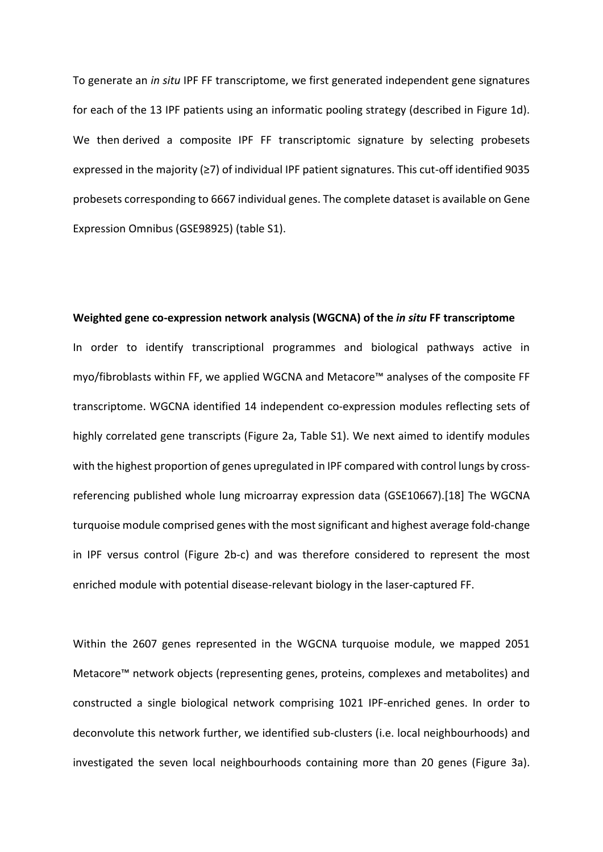To generate an *in situ* IPF FF transcriptome, we first generated independent gene signatures for each of the 13 IPF patients using an informatic pooling strategy (described in Figure 1d). We then derived a composite IPF FF transcriptomic signature by selecting probesets expressed in the majority (≥7) of individual IPF patient signatures. This cut-off identified 9035 probesets corresponding to 6667 individual genes. The complete dataset is available on Gene Expression Omnibus (GSE98925) (table S1).

#### **Weighted gene co-expression network analysis (WGCNA) of the** *in situ* **FF transcriptome**

In order to identify transcriptional programmes and biological pathways active in myo/fibroblasts within FF, we applied WGCNA and Metacore™ analyses of the composite FF transcriptome. WGCNA identified 14 independent co-expression modules reflecting sets of highly correlated gene transcripts (Figure 2a, Table S1). We next aimed to identify modules with the highest proportion of genes upregulated in IPF compared with control lungs by crossreferencing published whole lung microarray expression data (GSE10667).[18] The WGCNA turquoise module comprised genes with the most significant and highest average fold-change in IPF versus control (Figure 2b-c) and was therefore considered to represent the most enriched module with potential disease-relevant biology in the laser-captured FF.

Within the 2607 genes represented in the WGCNA turquoise module, we mapped 2051 Metacore™ network objects (representing genes, proteins, complexes and metabolites) and constructed a single biological network comprising 1021 IPF-enriched genes. In order to deconvolute this network further, we identified sub-clusters (i.e. local neighbourhoods) and investigated the seven local neighbourhoods containing more than 20 genes (Figure 3a).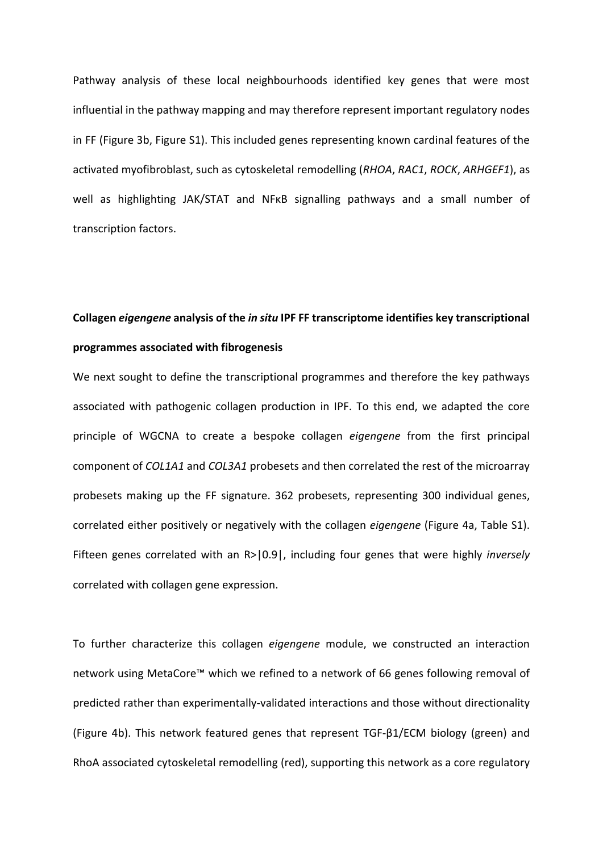Pathway analysis of these local neighbourhoods identified key genes that were most influential in the pathway mapping and may therefore represent important regulatory nodes in FF (Figure 3b, Figure S1). This included genes representing known cardinal features of the activated myofibroblast, such as cytoskeletal remodelling (*RHOA*, *RAC1*, *ROCK*, *ARHGEF1*), as well as highlighting JAK/STAT and NFκB signalling pathways and a small number of transcription factors.

# **Collagen** *eigengene* **analysis of the** *in situ* **IPF FF transcriptome identifies key transcriptional programmes associated with fibrogenesis**

We next sought to define the transcriptional programmes and therefore the key pathways associated with pathogenic collagen production in IPF. To this end, we adapted the core principle of WGCNA to create a bespoke collagen *eigengene* from the first principal component of *COL1A1* and *COL3A1* probesets and then correlated the rest of the microarray probesets making up the FF signature. 362 probesets, representing 300 individual genes, correlated either positively or negatively with the collagen *eigengene* (Figure 4a, Table S1). Fifteen genes correlated with an R>|0.9|, including four genes that were highly *inversely* correlated with collagen gene expression.

To further characterize this collagen *eigengene* module, we constructed an interaction network using MetaCore™ which we refined to a network of 66 genes following removal of predicted rather than experimentally-validated interactions and those without directionality (Figure 4b). This network featured genes that represent TGF-β1/ECM biology (green) and RhoA associated cytoskeletal remodelling (red), supporting this network as a core regulatory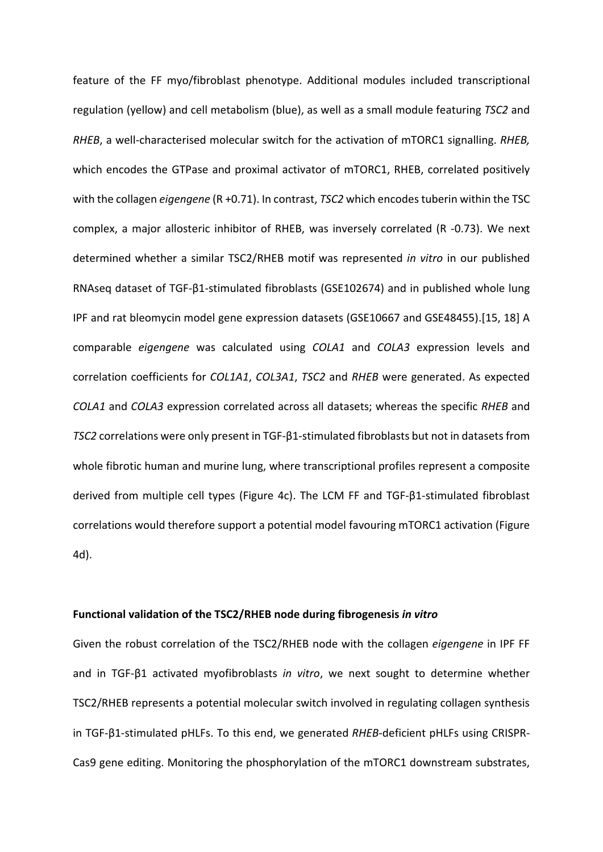feature of the FF myo/fibroblast phenotype. Additional modules included transcriptional regulation (yellow) and cell metabolism (blue), as well as a small module featuring *TSC2* and *RHEB*, a well-characterised molecular switch for the activation of mTORC1 signalling. *RHEB,* which encodes the GTPase and proximal activator of mTORC1, RHEB, correlated positively with the collagen *eigengene* (R +0.71). In contrast, *TSC2* which encodes tuberin within the TSC complex, a major allosteric inhibitor of RHEB, was inversely correlated (R -0.73). We next determined whether a similar TSC2/RHEB motif was represented *in vitro* in our published RNAseq dataset of TGF-β1-stimulated fibroblasts (GSE102674) and in published whole lung IPF and rat bleomycin model gene expression datasets (GSE10667 and GSE48455).[15, 18] A comparable *eigengene* was calculated using *COLA1* and *COLA3* expression levels and correlation coefficients for *COL1A1*, *COL3A1*, *TSC2* and *RHEB* were generated. As expected *COLA1* and *COLA3* expression correlated across all datasets; whereas the specific *RHEB* and *TSC2* correlations were only present in TGF-β1-stimulated fibroblasts but not in datasets from whole fibrotic human and murine lung, where transcriptional profiles represent a composite derived from multiple cell types (Figure 4c). The LCM FF and TGF-β1-stimulated fibroblast correlations would therefore support a potential model favouring mTORC1 activation (Figure 4d).

### **Functional validation of the TSC2/RHEB node during fibrogenesis** *in vitro*

Given the robust correlation of the TSC2/RHEB node with the collagen *eigengene* in IPF FF and in TGF-β1 activated myofibroblasts *in vitro*, we next sought to determine whether TSC2/RHEB represents a potential molecular switch involved in regulating collagen synthesis in TGF-β1-stimulated pHLFs. To this end, we generated *RHEB*-deficient pHLFs using CRISPR-Cas9 gene editing. Monitoring the phosphorylation of the mTORC1 downstream substrates,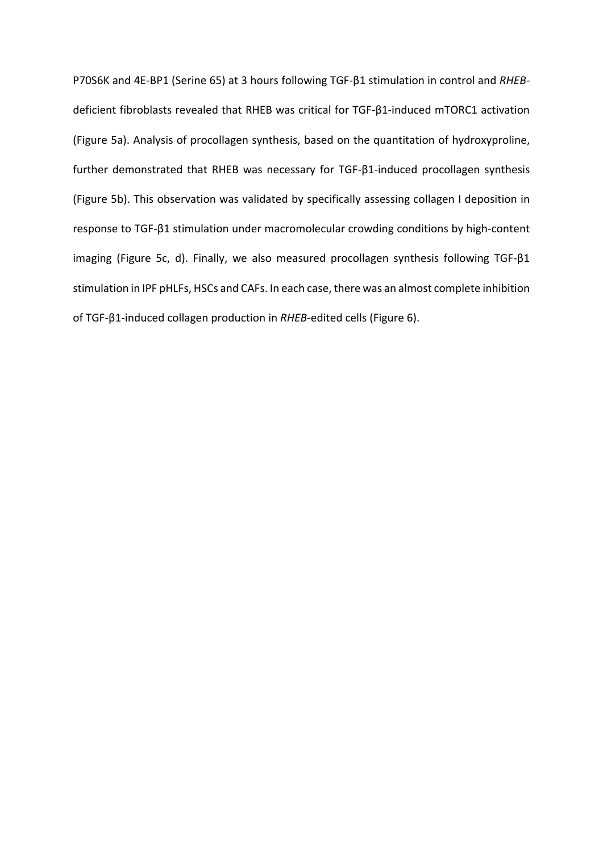P70S6K and 4E-BP1 (Serine 65) at 3 hours following TGF-β1 stimulation in control and *RHEB*deficient fibroblasts revealed that RHEB was critical for TGF-β1-induced mTORC1 activation (Figure 5a). Analysis of procollagen synthesis, based on the quantitation of hydroxyproline, further demonstrated that RHEB was necessary for TGF-β1-induced procollagen synthesis (Figure 5b). This observation was validated by specifically assessing collagen I deposition in response to TGF-β1 stimulation under macromolecular crowding conditions by high-content imaging (Figure 5c, d). Finally, we also measured procollagen synthesis following TGF-β1 stimulation in IPF pHLFs, HSCs and CAFs. In each case, there was an almost complete inhibition of TGF-β1-induced collagen production in *RHEB*-edited cells (Figure 6).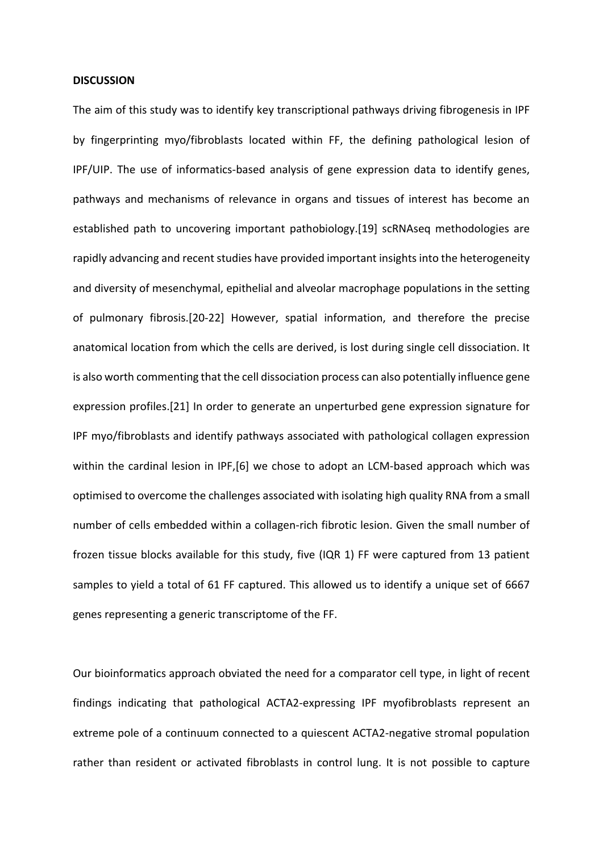#### **DISCUSSION**

The aim of this study was to identify key transcriptional pathways driving fibrogenesis in IPF by fingerprinting myo/fibroblasts located within FF, the defining pathological lesion of IPF/UIP. The use of informatics-based analysis of gene expression data to identify genes, pathways and mechanisms of relevance in organs and tissues of interest has become an established path to uncovering important pathobiology.[19] scRNAseq methodologies are rapidly advancing and recent studies have provided important insights into the heterogeneity and diversity of mesenchymal, epithelial and alveolar macrophage populations in the setting of pulmonary fibrosis.[20-22] However, spatial information, and therefore the precise anatomical location from which the cells are derived, is lost during single cell dissociation. It is also worth commenting that the cell dissociation process can also potentially influence gene expression profiles.[21] In order to generate an unperturbed gene expression signature for IPF myo/fibroblasts and identify pathways associated with pathological collagen expression within the cardinal lesion in IPF, [6] we chose to adopt an LCM-based approach which was optimised to overcome the challenges associated with isolating high quality RNA from a small number of cells embedded within a collagen-rich fibrotic lesion. Given the small number of frozen tissue blocks available for this study, five (IQR 1) FF were captured from 13 patient samples to yield a total of 61 FF captured. This allowed us to identify a unique set of 6667 genes representing a generic transcriptome of the FF.

Our bioinformatics approach obviated the need for a comparator cell type, in light of recent findings indicating that pathological ACTA2-expressing IPF myofibroblasts represent an extreme pole of a continuum connected to a quiescent ACTA2-negative stromal population rather than resident or activated fibroblasts in control lung. It is not possible to capture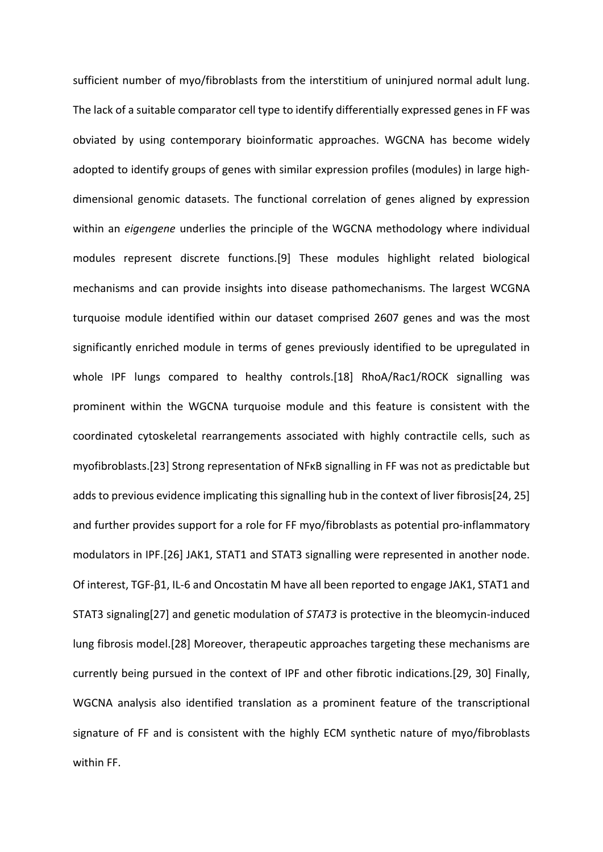sufficient number of myo/fibroblasts from the interstitium of uninjured normal adult lung. The lack of a suitable comparator cell type to identify differentially expressed genes in FF was obviated by using contemporary bioinformatic approaches. WGCNA has become widely adopted to identify groups of genes with similar expression profiles (modules) in large highdimensional genomic datasets. The functional correlation of genes aligned by expression within an *eigengene* underlies the principle of the WGCNA methodology where individual modules represent discrete functions.[9] These modules highlight related biological mechanisms and can provide insights into disease pathomechanisms. The largest WCGNA turquoise module identified within our dataset comprised 2607 genes and was the most significantly enriched module in terms of genes previously identified to be upregulated in whole IPF lungs compared to healthy controls.[18] RhoA/Rac1/ROCK signalling was prominent within the WGCNA turquoise module and this feature is consistent with the coordinated cytoskeletal rearrangements associated with highly contractile cells, such as myofibroblasts.[23] Strong representation of NFκB signalling in FF was not as predictable but adds to previous evidence implicating this signalling hub in the context of liver fibrosis[24, 25] and further provides support for a role for FF myo/fibroblasts as potential pro-inflammatory modulators in IPF.[26] JAK1, STAT1 and STAT3 signalling were represented in another node. Of interest, TGF-β1, IL-6 and Oncostatin M have all been reported to engage JAK1, STAT1 and STAT3 signaling[27] and genetic modulation of *STAT3* is protective in the bleomycin-induced lung fibrosis model.[28] Moreover, therapeutic approaches targeting these mechanisms are currently being pursued in the context of IPF and other fibrotic indications.[29, 30] Finally, WGCNA analysis also identified translation as a prominent feature of the transcriptional signature of FF and is consistent with the highly ECM synthetic nature of myo/fibroblasts within FF.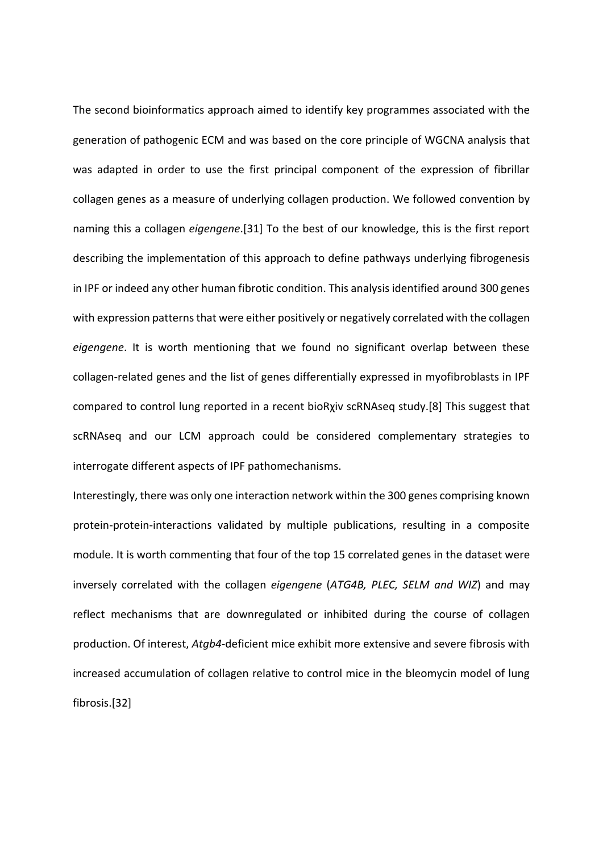The second bioinformatics approach aimed to identify key programmes associated with the generation of pathogenic ECM and was based on the core principle of WGCNA analysis that was adapted in order to use the first principal component of the expression of fibrillar collagen genes as a measure of underlying collagen production. We followed convention by naming this a collagen *eigengene*.[31] To the best of our knowledge, this is the first report describing the implementation of this approach to define pathways underlying fibrogenesis in IPF or indeed any other human fibrotic condition. This analysis identified around 300 genes with expression patterns that were either positively or negatively correlated with the collagen *eigengene*. It is worth mentioning that we found no significant overlap between these collagen-related genes and the list of genes differentially expressed in myofibroblasts in IPF compared to control lung reported in a recent bioRχiv scRNAseq study.[8] This suggest that scRNAseq and our LCM approach could be considered complementary strategies to interrogate different aspects of IPF pathomechanisms.

Interestingly, there was only one interaction network within the 300 genes comprising known protein-protein-interactions validated by multiple publications, resulting in a composite module. It is worth commenting that four of the top 15 correlated genes in the dataset were inversely correlated with the collagen *eigengene* (*ATG4B, PLEC, SELM and WIZ*) and may reflect mechanisms that are downregulated or inhibited during the course of collagen production. Of interest, *Atgb4*-deficient mice exhibit more extensive and severe fibrosis with increased accumulation of collagen relative to control mice in the bleomycin model of lung fibrosis.[32]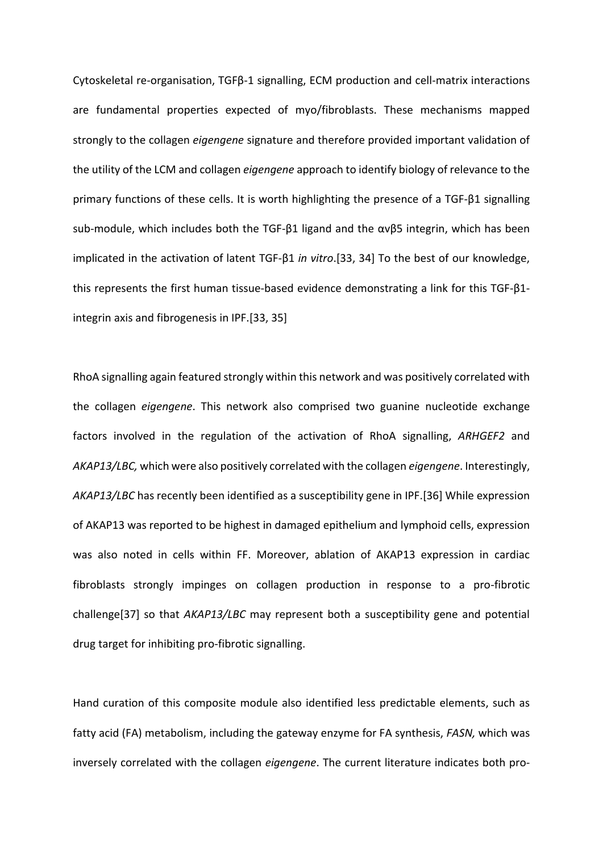Cytoskeletal re-organisation, TGFβ-1 signalling, ECM production and cell-matrix interactions are fundamental properties expected of myo/fibroblasts. These mechanisms mapped strongly to the collagen *eigengene* signature and therefore provided important validation of the utility of the LCM and collagen *eigengene* approach to identify biology of relevance to the primary functions of these cells. It is worth highlighting the presence of a TGF-β1 signalling sub-module, which includes both the TGF-β1 ligand and the αvβ5 integrin, which has been implicated in the activation of latent TGF-β1 *in vitro*.[33, 34] To the best of our knowledge, this represents the first human tissue-based evidence demonstrating a link for this TGF-β1 integrin axis and fibrogenesis in IPF.[33, 35]

RhoA signalling again featured strongly within this network and was positively correlated with the collagen *eigengene*. This network also comprised two guanine nucleotide exchange factors involved in the regulation of the activation of RhoA signalling, *ARHGEF2* and *AKAP13/LBC,* which were also positively correlated with the collagen *eigengene*. Interestingly, *AKAP13/LBC* has recently been identified as a susceptibility gene in IPF.[36] While expression of AKAP13 was reported to be highest in damaged epithelium and lymphoid cells, expression was also noted in cells within FF. Moreover, ablation of AKAP13 expression in cardiac fibroblasts strongly impinges on collagen production in response to a pro-fibrotic challenge[37] so that *AKAP13/LBC* may represent both a susceptibility gene and potential drug target for inhibiting pro-fibrotic signalling.

Hand curation of this composite module also identified less predictable elements, such as fatty acid (FA) metabolism, including the gateway enzyme for FA synthesis, *FASN,* which was inversely correlated with the collagen *eigengene*. The current literature indicates both pro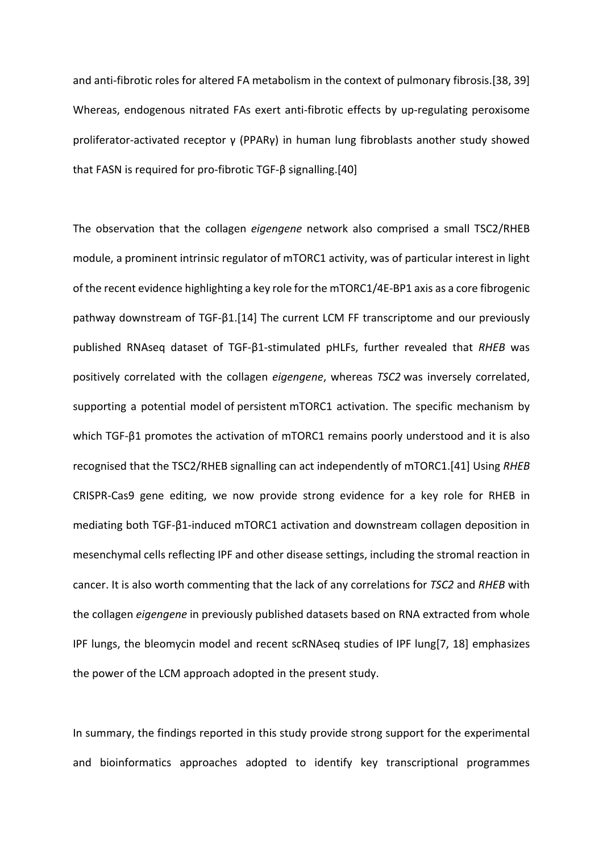and anti-fibrotic roles for altered FA metabolism in the context of pulmonary fibrosis.[38, 39] Whereas, endogenous nitrated FAs exert anti-fibrotic effects by up-regulating peroxisome proliferator-activated receptor γ (PPARγ) in human lung fibroblasts another study showed that FASN is required for pro-fibrotic TGF-β signalling.[40]

The observation that the collagen *eigengene* network also comprised a small TSC2/RHEB module, a prominent intrinsic regulator of mTORC1 activity, was of particular interest in light of the recent evidence highlighting a key role for the mTORC1/4E-BP1 axis as a core fibrogenic pathway downstream of TGF-β1.[14] The current LCM FF transcriptome and our previously published RNAseq dataset of TGF-β1-stimulated pHLFs, further revealed that *RHEB* was positively correlated with the collagen *eigengene*, whereas *TSC2* was inversely correlated, supporting a potential model of persistent mTORC1 activation. The specific mechanism by which TGF-β1 promotes the activation of mTORC1 remains poorly understood and it is also recognised that the TSC2/RHEB signalling can act independently of mTORC1.[41] Using *RHEB* CRISPR-Cas9 gene editing, we now provide strong evidence for a key role for RHEB in mediating both TGF-β1-induced mTORC1 activation and downstream collagen deposition in mesenchymal cells reflecting IPF and other disease settings, including the stromal reaction in cancer. It is also worth commenting that the lack of any correlations for *TSC2* and *RHEB* with the collagen *eigengene* in previously published datasets based on RNA extracted from whole IPF lungs, the bleomycin model and recent scRNAseq studies of IPF lung[7, 18] emphasizes the power of the LCM approach adopted in the present study.

In summary, the findings reported in this study provide strong support for the experimental and bioinformatics approaches adopted to identify key transcriptional programmes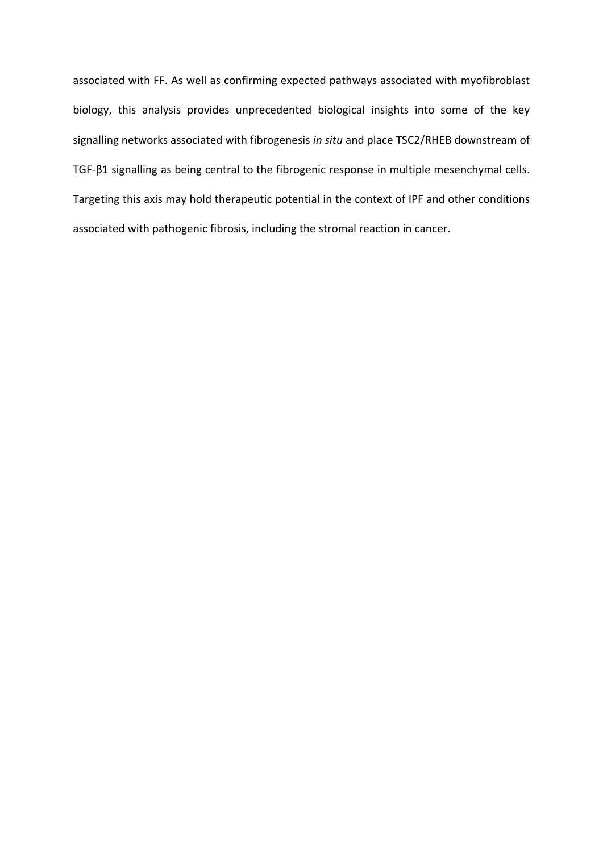associated with FF. As well as confirming expected pathways associated with myofibroblast biology, this analysis provides unprecedented biological insights into some of the key signalling networks associated with fibrogenesis *in situ* and place TSC2/RHEB downstream of TGF-β1 signalling as being central to the fibrogenic response in multiple mesenchymal cells. Targeting this axis may hold therapeutic potential in the context of IPF and other conditions associated with pathogenic fibrosis, including the stromal reaction in cancer.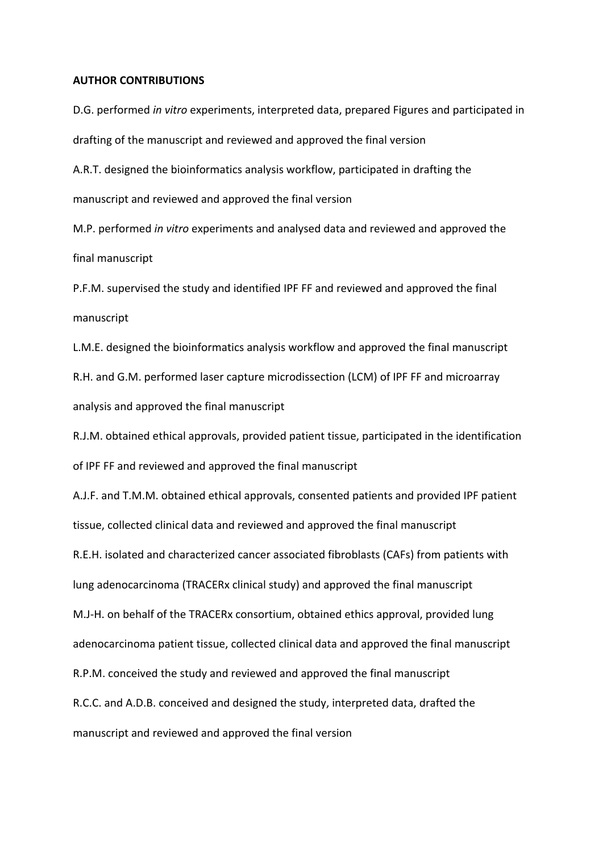### **AUTHOR CONTRIBUTIONS**

D.G. performed *in vitro* experiments, interpreted data, prepared Figures and participated in drafting of the manuscript and reviewed and approved the final version

A.R.T. designed the bioinformatics analysis workflow, participated in drafting the manuscript and reviewed and approved the final version

M.P. performed *in vitro* experiments and analysed data and reviewed and approved the final manuscript

P.F.M. supervised the study and identified IPF FF and reviewed and approved the final manuscript

L.M.E. designed the bioinformatics analysis workflow and approved the final manuscript R.H. and G.M. performed laser capture microdissection (LCM) of IPF FF and microarray analysis and approved the final manuscript

R.J.M. obtained ethical approvals, provided patient tissue, participated in the identification of IPF FF and reviewed and approved the final manuscript

A.J.F. and T.M.M. obtained ethical approvals, consented patients and provided IPF patient tissue, collected clinical data and reviewed and approved the final manuscript R.E.H. isolated and characterized cancer associated fibroblasts (CAFs) from patients with lung adenocarcinoma (TRACERx clinical study) and approved the final manuscript M.J-H. on behalf of the TRACERx consortium, obtained ethics approval, provided lung adenocarcinoma patient tissue, collected clinical data and approved the final manuscript R.P.M. conceived the study and reviewed and approved the final manuscript R.C.C. and A.D.B. conceived and designed the study, interpreted data, drafted the manuscript and reviewed and approved the final version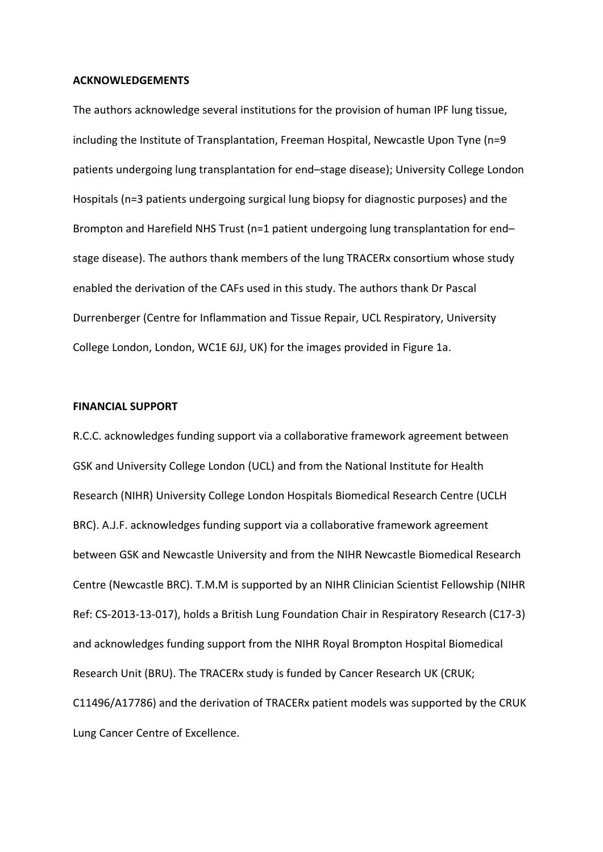## **ACKNOWLEDGEMENTS**

The authors acknowledge several institutions for the provision of human IPF lung tissue, including the Institute of Transplantation, Freeman Hospital, Newcastle Upon Tyne (n=9 patients undergoing lung transplantation for end–stage disease); University College London Hospitals (n=3 patients undergoing surgical lung biopsy for diagnostic purposes) and the Brompton and Harefield NHS Trust (n=1 patient undergoing lung transplantation for end– stage disease). The authors thank members of the lung TRACERx consortium whose study enabled the derivation of the CAFs used in this study. The authors thank Dr Pascal Durrenberger (Centre for Inflammation and Tissue Repair, UCL Respiratory, University College London, London, WC1E 6JJ, UK) for the images provided in Figure 1a.

### **FINANCIAL SUPPORT**

R.C.C. acknowledges funding support via a collaborative framework agreement between GSK and University College London (UCL) and from the National Institute for Health Research (NIHR) University College London Hospitals Biomedical Research Centre (UCLH BRC). A.J.F. acknowledges funding support via a collaborative framework agreement between GSK and Newcastle University and from the NIHR Newcastle Biomedical Research Centre (Newcastle BRC). T.M.M is supported by an NIHR Clinician Scientist Fellowship (NIHR Ref: CS-2013-13-017), holds a British Lung Foundation Chair in Respiratory Research (C17-3) and acknowledges funding support from the NIHR Royal Brompton Hospital Biomedical Research Unit (BRU). The TRACERx study is funded by Cancer Research UK (CRUK; C11496/A17786) and the derivation of TRACERx patient models was supported by the CRUK Lung Cancer Centre of Excellence.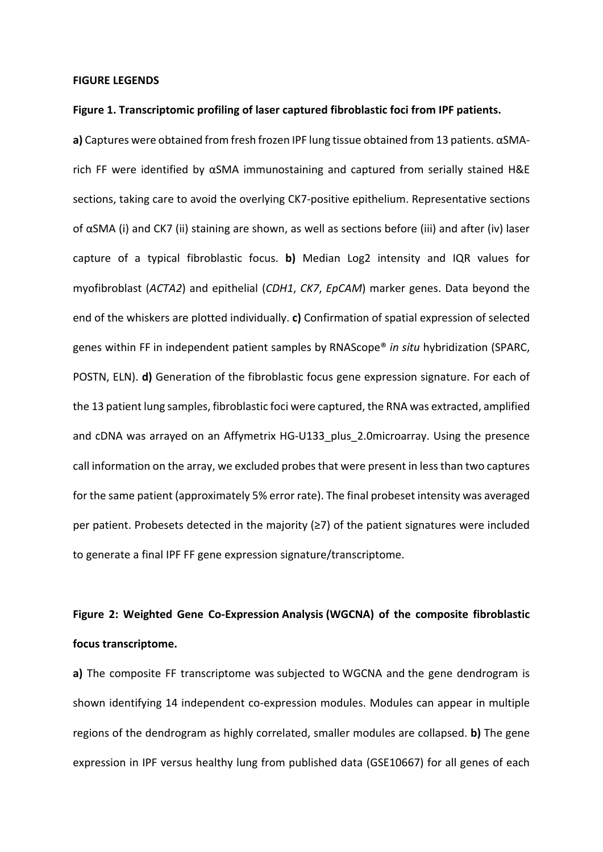#### **FIGURE LEGENDS**

### **Figure 1. Transcriptomic profiling of laser captured fibroblastic foci from IPF patients.**

**a)** Captures were obtained from fresh frozen IPF lung tissue obtained from 13 patients. αSMArich FF were identified by αSMA immunostaining and captured from serially stained H&E sections, taking care to avoid the overlying CK7-positive epithelium. Representative sections of αSMA (i) and CK7 (ii) staining are shown, as well as sections before (iii) and after (iv) laser capture of a typical fibroblastic focus. **b)** Median Log2 intensity and IQR values for myofibroblast (*ACTA2*) and epithelial (*CDH1*, *CK7*, *EpCAM*) marker genes. Data beyond the end of the whiskers are plotted individually. **c)** Confirmation of spatial expression of selected genes within FF in independent patient samples by RNAScope® *in situ* hybridization (SPARC, POSTN, ELN). **d)** Generation of the fibroblastic focus gene expression signature. For each of the 13 patient lung samples, fibroblastic foci were captured, the RNA was extracted, amplified and cDNA was arrayed on an Affymetrix HG-U133 plus 2.0microarray. Using the presence call information on the array, we excluded probes that were present in less than two captures for the same patient (approximately 5% error rate). The final probeset intensity was averaged per patient. Probesets detected in the majority (≥7) of the patient signatures were included to generate a final IPF FF gene expression signature/transcriptome.

## **Figure 2: Weighted Gene Co-Expression Analysis (WGCNA) of the composite fibroblastic focus transcriptome.**

**a)** The composite FF transcriptome was subjected to WGCNA and the gene dendrogram is shown identifying 14 independent co-expression modules. Modules can appear in multiple regions of the dendrogram as highly correlated, smaller modules are collapsed. **b)** The gene expression in IPF versus healthy lung from published data (GSE10667) for all genes of each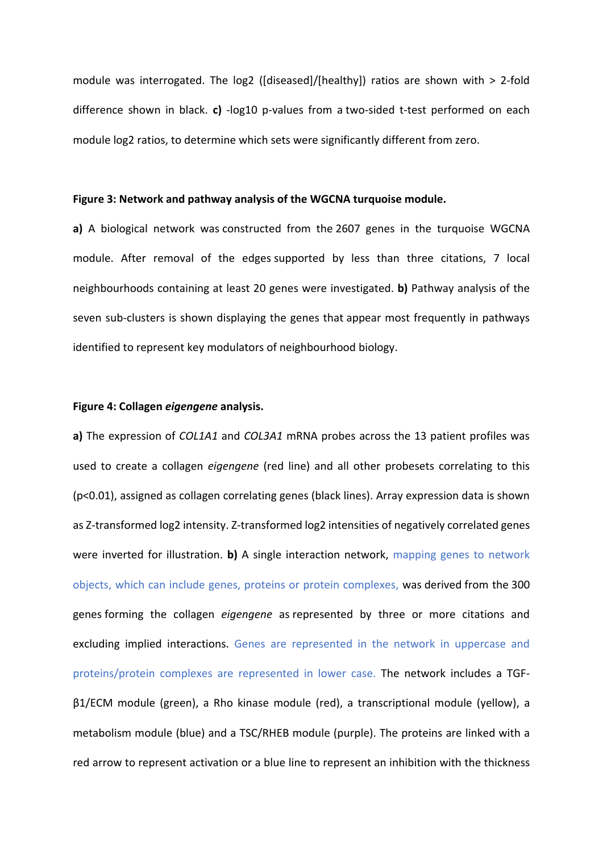module was interrogated. The log2 ([diseased]/[healthy]) ratios are shown with > 2-fold difference shown in black. **c)** -log10 p-values from a two-sided t-test performed on each module log2 ratios, to determine which sets were significantly different from zero.

#### **Figure 3: Network and pathway analysis of the WGCNA turquoise module.**

**a)** A biological network was constructed from the 2607 genes in the turquoise WGCNA module. After removal of the edges supported by less than three citations, 7 local neighbourhoods containing at least 20 genes were investigated. **b)** Pathway analysis of the seven sub-clusters is shown displaying the genes that appear most frequently in pathways identified to represent key modulators of neighbourhood biology.

### **Figure 4: Collagen** *eigengene* **analysis.**

**a)** The expression of *COL1A1* and *COL3A1* mRNA probes across the 13 patient profiles was used to create a collagen *eigengene* (red line) and all other probesets correlating to this (p<0.01), assigned as collagen correlating genes (black lines). Array expression data is shown as Z-transformed log2 intensity. Z-transformed log2 intensities of negatively correlated genes were inverted for illustration. **b)** A single interaction network, mapping genes to network objects, which can include genes, proteins or protein complexes, was derived from the 300 genes forming the collagen *eigengene* as represented by three or more citations and excluding implied interactions. Genes are represented in the network in uppercase and proteins/protein complexes are represented in lower case. The network includes a TGFβ1/ECM module (green), a Rho kinase module (red), a transcriptional module (yellow), a metabolism module (blue) and a TSC/RHEB module (purple). The proteins are linked with a red arrow to represent activation or a blue line to represent an inhibition with the thickness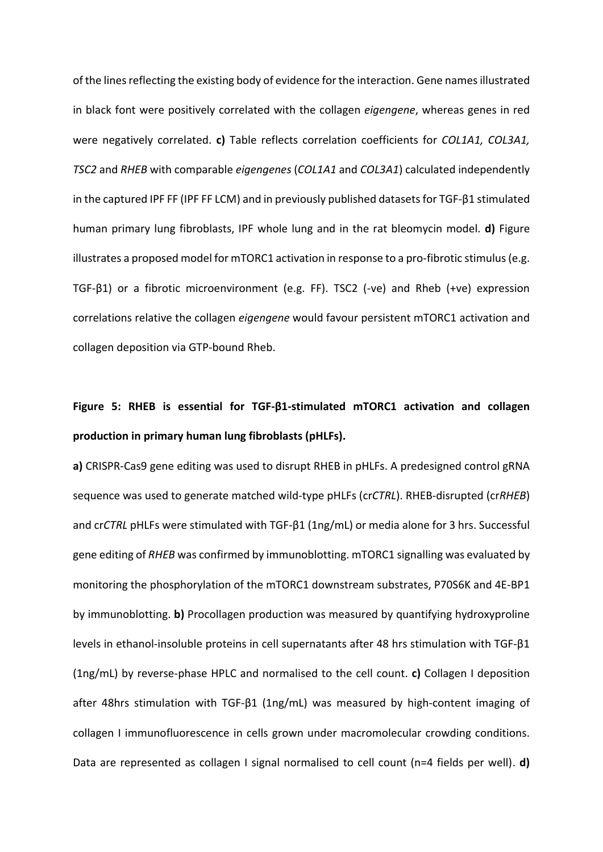of the lines reflecting the existing body of evidence for the interaction. Gene names illustrated in black font were positively correlated with the collagen *eigengene*, whereas genes in red were negatively correlated. **c)** Table reflects correlation coefficients for *COL1A1, COL3A1, TSC2* and *RHEB* with comparable *eigengenes* (*COL1A1* and *COL3A1*) calculated independently in the captured IPF FF (IPF FF LCM) and in previously published datasets for TGF-β1 stimulated human primary lung fibroblasts, IPF whole lung and in the rat bleomycin model. **d)** Figure illustrates a proposed model for mTORC1 activation in response to a pro-fibrotic stimulus (e.g. TGF-β1) or a fibrotic microenvironment (e.g. FF). TSC2 (-ve) and Rheb (+ve) expression correlations relative the collagen *eigengene* would favour persistent mTORC1 activation and collagen deposition via GTP-bound Rheb.

# **Figure 5: RHEB is essential for TGF-β1-stimulated mTORC1 activation and collagen production in primary human lung fibroblasts (pHLFs).**

**a)** CRISPR-Cas9 gene editing was used to disrupt RHEB in pHLFs. A predesigned control gRNA sequence was used to generate matched wild-type pHLFs (cr*CTRL*). RHEB-disrupted (cr*RHEB*) and cr*CTRL* pHLFs were stimulated with TGF-β1 (1ng/mL) or media alone for 3 hrs. Successful gene editing of *RHEB* was confirmed by immunoblotting. mTORC1 signalling was evaluated by monitoring the phosphorylation of the mTORC1 downstream substrates, P70S6K and 4E-BP1 by immunoblotting. **b)** Procollagen production was measured by quantifying hydroxyproline levels in ethanol-insoluble proteins in cell supernatants after 48 hrs stimulation with TGF-β1 (1ng/mL) by reverse-phase HPLC and normalised to the cell count. **c)** Collagen I deposition after 48hrs stimulation with TGF-β1 (1ng/mL) was measured by high-content imaging of collagen I immunofluorescence in cells grown under macromolecular crowding conditions. Data are represented as collagen I signal normalised to cell count (n=4 fields per well). **d)**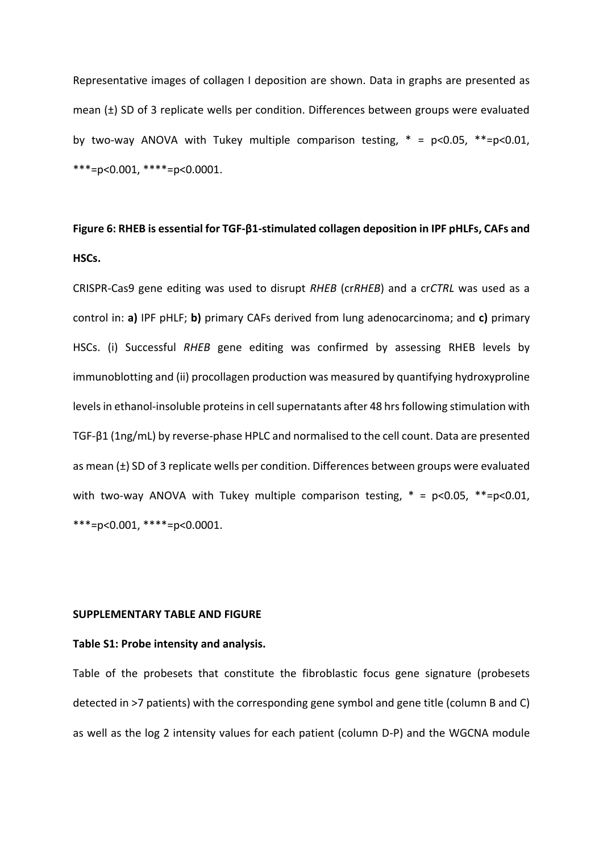Representative images of collagen I deposition are shown. Data in graphs are presented as mean (±) SD of 3 replicate wells per condition. Differences between groups were evaluated by two-way ANOVA with Tukey multiple comparison testing,  $* = p<0.05$ ,  $**=p<0.01$ , \*\*\*=p<0.001, \*\*\*\*=p<0.0001.

## **Figure 6: RHEB is essential for TGF-β1-stimulated collagen deposition in IPF pHLFs, CAFs and HSCs.**

CRISPR-Cas9 gene editing was used to disrupt *RHEB* (cr*RHEB*) and a cr*CTRL* was used as a control in: **a)** IPF pHLF; **b)** primary CAFs derived from lung adenocarcinoma; and **c)** primary HSCs. (i) Successful *RHEB* gene editing was confirmed by assessing RHEB levels by immunoblotting and (ii) procollagen production was measured by quantifying hydroxyproline levels in ethanol-insoluble proteins in cell supernatants after 48 hrs following stimulation with TGF-β1 (1ng/mL) by reverse-phase HPLC and normalised to the cell count. Data are presented as mean (±) SD of 3 replicate wells per condition. Differences between groups were evaluated with two-way ANOVA with Tukey multiple comparison testing,  $* = p < 0.05$ ,  $** = p < 0.01$ , \*\*\*=p<0.001, \*\*\*\*=p<0.0001.

## **SUPPLEMENTARY TABLE AND FIGURE**

#### **Table S1: Probe intensity and analysis.**

Table of the probesets that constitute the fibroblastic focus gene signature (probesets detected in >7 patients) with the corresponding gene symbol and gene title (column B and C) as well as the log 2 intensity values for each patient (column D-P) and the WGCNA module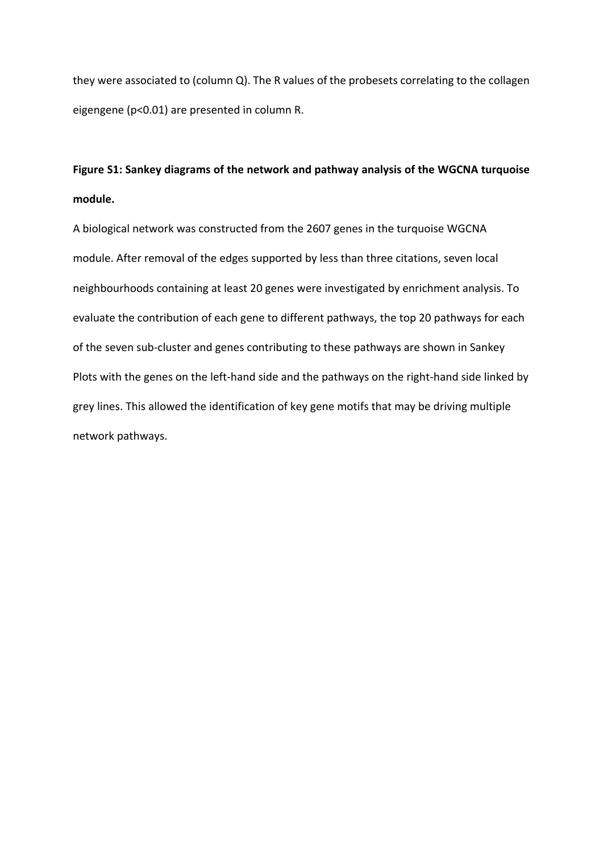they were associated to (column Q). The R values of the probesets correlating to the collagen eigengene (p<0.01) are presented in column R.

## **Figure S1: Sankey diagrams of the network and pathway analysis of the WGCNA turquoise module.**

A biological network was constructed from the 2607 genes in the turquoise WGCNA module. After removal of the edges supported by less than three citations, seven local neighbourhoods containing at least 20 genes were investigated by enrichment analysis. To evaluate the contribution of each gene to different pathways, the top 20 pathways for each of the seven sub-cluster and genes contributing to these pathways are shown in Sankey Plots with the genes on the left-hand side and the pathways on the right-hand side linked by grey lines. This allowed the identification of key gene motifs that may be driving multiple network pathways.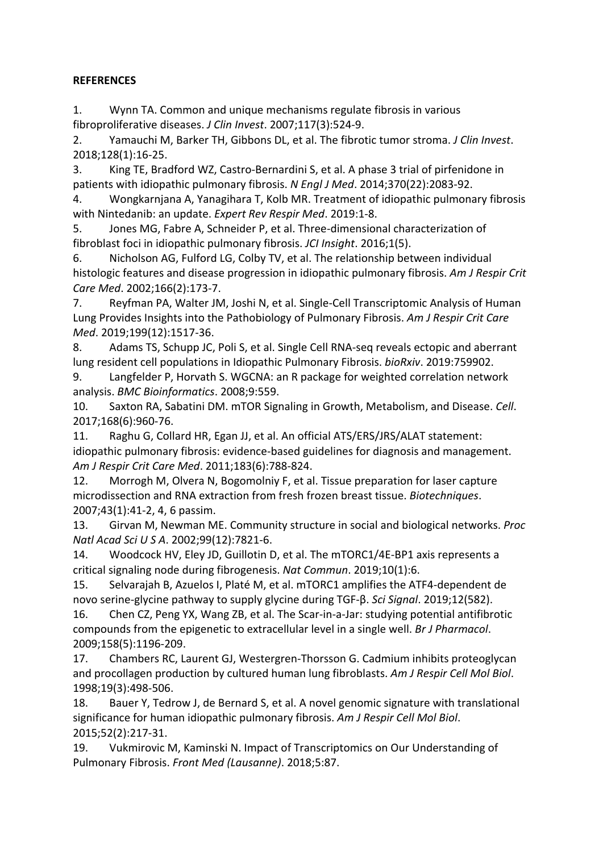## **REFERENCES**

1. Wynn TA. Common and unique mechanisms regulate fibrosis in various fibroproliferative diseases. *J Clin Invest*. 2007;117(3):524-9.

2. Yamauchi M, Barker TH, Gibbons DL, et al. The fibrotic tumor stroma. *J Clin Invest*. 2018;128(1):16-25.

3. King TE, Bradford WZ, Castro-Bernardini S, et al. A phase 3 trial of pirfenidone in patients with idiopathic pulmonary fibrosis. *N Engl J Med*. 2014;370(22):2083-92.

4. Wongkarnjana A, Yanagihara T, Kolb MR. Treatment of idiopathic pulmonary fibrosis with Nintedanib: an update. *Expert Rev Respir Med*. 2019:1-8.

5. Jones MG, Fabre A, Schneider P, et al. Three-dimensional characterization of fibroblast foci in idiopathic pulmonary fibrosis. *JCI Insight*. 2016;1(5).

6. Nicholson AG, Fulford LG, Colby TV, et al. The relationship between individual histologic features and disease progression in idiopathic pulmonary fibrosis. *Am J Respir Crit Care Med*. 2002;166(2):173-7.

7. Reyfman PA, Walter JM, Joshi N, et al. Single-Cell Transcriptomic Analysis of Human Lung Provides Insights into the Pathobiology of Pulmonary Fibrosis. *Am J Respir Crit Care Med*. 2019;199(12):1517-36.

8. Adams TS, Schupp JC, Poli S, et al. Single Cell RNA-seq reveals ectopic and aberrant lung resident cell populations in Idiopathic Pulmonary Fibrosis. *bioRxiv*. 2019:759902.

9. Langfelder P, Horvath S. WGCNA: an R package for weighted correlation network analysis. *BMC Bioinformatics*. 2008;9:559.

10. Saxton RA, Sabatini DM. mTOR Signaling in Growth, Metabolism, and Disease. *Cell*. 2017;168(6):960-76.

11. Raghu G, Collard HR, Egan JJ, et al. An official ATS/ERS/JRS/ALAT statement: idiopathic pulmonary fibrosis: evidence-based guidelines for diagnosis and management. *Am J Respir Crit Care Med*. 2011;183(6):788-824.

12. Morrogh M, Olvera N, Bogomolniy F, et al. Tissue preparation for laser capture microdissection and RNA extraction from fresh frozen breast tissue. *Biotechniques*. 2007;43(1):41-2, 4, 6 passim.

13. Girvan M, Newman ME. Community structure in social and biological networks. *Proc Natl Acad Sci U S A*. 2002;99(12):7821-6.

14. Woodcock HV, Eley JD, Guillotin D, et al. The mTORC1/4E-BP1 axis represents a critical signaling node during fibrogenesis. *Nat Commun*. 2019;10(1):6.

15. Selvarajah B, Azuelos I, Platé M, et al. mTORC1 amplifies the ATF4-dependent de novo serine-glycine pathway to supply glycine during TGF-β. *Sci Signal*. 2019;12(582).

16. Chen CZ, Peng YX, Wang ZB, et al. The Scar-in-a-Jar: studying potential antifibrotic compounds from the epigenetic to extracellular level in a single well. *Br J Pharmacol*. 2009;158(5):1196-209.

17. Chambers RC, Laurent GJ, Westergren-Thorsson G. Cadmium inhibits proteoglycan and procollagen production by cultured human lung fibroblasts. *Am J Respir Cell Mol Biol*. 1998;19(3):498-506.

18. Bauer Y, Tedrow J, de Bernard S, et al. A novel genomic signature with translational significance for human idiopathic pulmonary fibrosis. *Am J Respir Cell Mol Biol*. 2015;52(2):217-31.

19. Vukmirovic M, Kaminski N. Impact of Transcriptomics on Our Understanding of Pulmonary Fibrosis. *Front Med (Lausanne)*. 2018;5:87.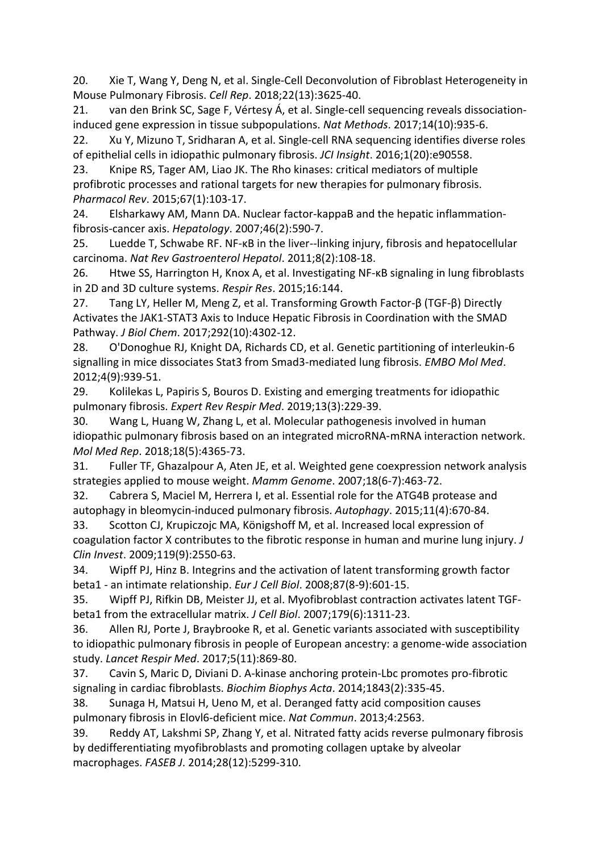20. Xie T, Wang Y, Deng N, et al. Single-Cell Deconvolution of Fibroblast Heterogeneity in Mouse Pulmonary Fibrosis. *Cell Rep*. 2018;22(13):3625-40.

21. van den Brink SC, Sage F, Vértesy Á, et al. Single-cell sequencing reveals dissociationinduced gene expression in tissue subpopulations. *Nat Methods*. 2017;14(10):935-6.

22. Xu Y, Mizuno T, Sridharan A, et al. Single-cell RNA sequencing identifies diverse roles of epithelial cells in idiopathic pulmonary fibrosis. *JCI Insight*. 2016;1(20):e90558.

23. Knipe RS, Tager AM, Liao JK. The Rho kinases: critical mediators of multiple profibrotic processes and rational targets for new therapies for pulmonary fibrosis. *Pharmacol Rev*. 2015;67(1):103-17.

24. Elsharkawy AM, Mann DA. Nuclear factor-kappaB and the hepatic inflammationfibrosis-cancer axis. *Hepatology*. 2007;46(2):590-7.

25. Luedde T, Schwabe RF. NF-κB in the liver--linking injury, fibrosis and hepatocellular carcinoma. *Nat Rev Gastroenterol Hepatol*. 2011;8(2):108-18.

26. Htwe SS, Harrington H, Knox A, et al. Investigating NF-κB signaling in lung fibroblasts in 2D and 3D culture systems. *Respir Res*. 2015;16:144.

27. Tang LY, Heller M, Meng Z, et al. Transforming Growth Factor-β (TGF-β) Directly Activates the JAK1-STAT3 Axis to Induce Hepatic Fibrosis in Coordination with the SMAD Pathway. *J Biol Chem*. 2017;292(10):4302-12.

28. O'Donoghue RJ, Knight DA, Richards CD, et al. Genetic partitioning of interleukin-6 signalling in mice dissociates Stat3 from Smad3-mediated lung fibrosis. *EMBO Mol Med*. 2012;4(9):939-51.

29. Kolilekas L, Papiris S, Bouros D. Existing and emerging treatments for idiopathic pulmonary fibrosis. *Expert Rev Respir Med*. 2019;13(3):229-39.

30. Wang L, Huang W, Zhang L, et al. Molecular pathogenesis involved in human idiopathic pulmonary fibrosis based on an integrated microRNA‑mRNA interaction network. *Mol Med Rep*. 2018;18(5):4365-73.

31. Fuller TF, Ghazalpour A, Aten JE, et al. Weighted gene coexpression network analysis strategies applied to mouse weight. *Mamm Genome*. 2007;18(6-7):463-72.

32. Cabrera S, Maciel M, Herrera I, et al. Essential role for the ATG4B protease and autophagy in bleomycin-induced pulmonary fibrosis. *Autophagy*. 2015;11(4):670-84.

33. Scotton CJ, Krupiczojc MA, Königshoff M, et al. Increased local expression of coagulation factor X contributes to the fibrotic response in human and murine lung injury. *J Clin Invest*. 2009;119(9):2550-63.

34. Wipff PJ, Hinz B. Integrins and the activation of latent transforming growth factor beta1 - an intimate relationship. *Eur J Cell Biol*. 2008;87(8-9):601-15.

35. Wipff PJ, Rifkin DB, Meister JJ, et al. Myofibroblast contraction activates latent TGFbeta1 from the extracellular matrix. *J Cell Biol*. 2007;179(6):1311-23.

36. Allen RJ, Porte J, Braybrooke R, et al. Genetic variants associated with susceptibility to idiopathic pulmonary fibrosis in people of European ancestry: a genome-wide association study. *Lancet Respir Med*. 2017;5(11):869-80.

37. Cavin S, Maric D, Diviani D. A-kinase anchoring protein-Lbc promotes pro-fibrotic signaling in cardiac fibroblasts. *Biochim Biophys Acta*. 2014;1843(2):335-45.

38. Sunaga H, Matsui H, Ueno M, et al. Deranged fatty acid composition causes pulmonary fibrosis in Elovl6-deficient mice. *Nat Commun*. 2013;4:2563.

39. Reddy AT, Lakshmi SP, Zhang Y, et al. Nitrated fatty acids reverse pulmonary fibrosis by dedifferentiating myofibroblasts and promoting collagen uptake by alveolar macrophages. *FASEB J*. 2014;28(12):5299-310.